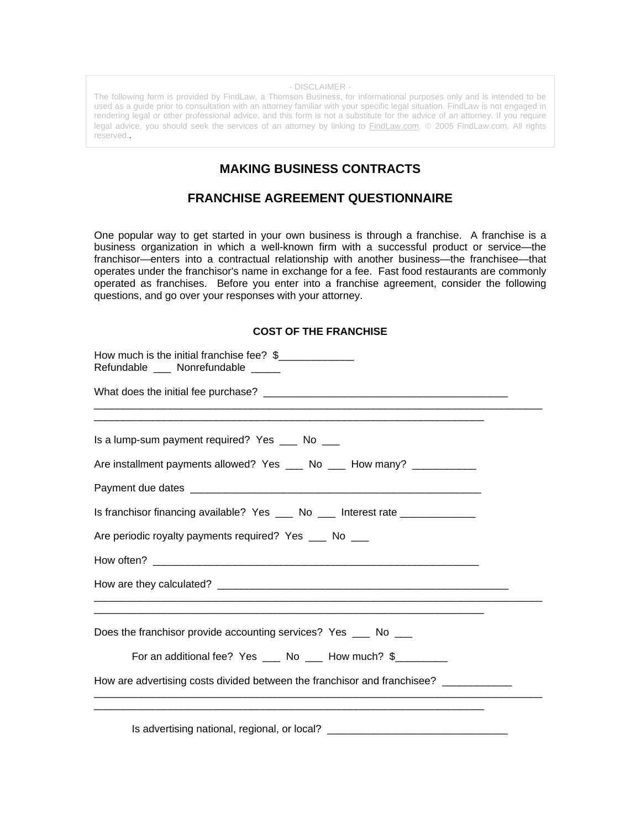## - DISCLAIMER -

The following form is provided by FindLaw, a Thomson Business, for informational purposes only and is intended to be used as a guide prior to consultation with an attorney familiar with your specific legal situation. FindLaw is not engaged in rendering legal or other professional advice, and this form is not a substitute for the advice of an attorney. If you require legal advice, you should seek the services of an attorney by linking to [FindLaw.com](http://www.findlaw.com/). © 2005 FindLaw.com. All rights reserved..

## **MAKING BUSINESS CONTRACTS**

## **FRANCHISE AGREEMENT QUESTIONNAIRE**

One popular way to get started in your own business is through a franchise. A franchise is a business organization in which a well-known firm with a successful product or service—the franchisor—enters into a contractual relationship with another business—the franchisee—that operates under the franchisor's name in exchange for a fee. Fast food restaurants are commonly operated as franchises. Before you enter into a franchise agreement, consider the following questions, and go over your responses with your attorney.

| <b>COST OF THE FRANCHISE</b> |  |
|------------------------------|--|
|------------------------------|--|

| How much is the initial franchise fee? \$<br>Refundable ____ Nonrefundable _____     |  |
|--------------------------------------------------------------------------------------|--|
|                                                                                      |  |
| Is a lump-sum payment required? Yes __ No __                                         |  |
| Are installment payments allowed? Yes ___ No ___ How many? ___________               |  |
|                                                                                      |  |
| Is franchisor financing available? Yes ___ No __ Interest rate ____________          |  |
| Are periodic royalty payments required? Yes ___ No ___                               |  |
|                                                                                      |  |
|                                                                                      |  |
| Does the franchisor provide accounting services? Yes ___ No ___                      |  |
| For an additional fee? Yes ___ No ___ How much? \$_________                          |  |
| How are advertising costs divided between the franchisor and franchisee? ___________ |  |
| Is advertising national, regional, or local? ___________________________________     |  |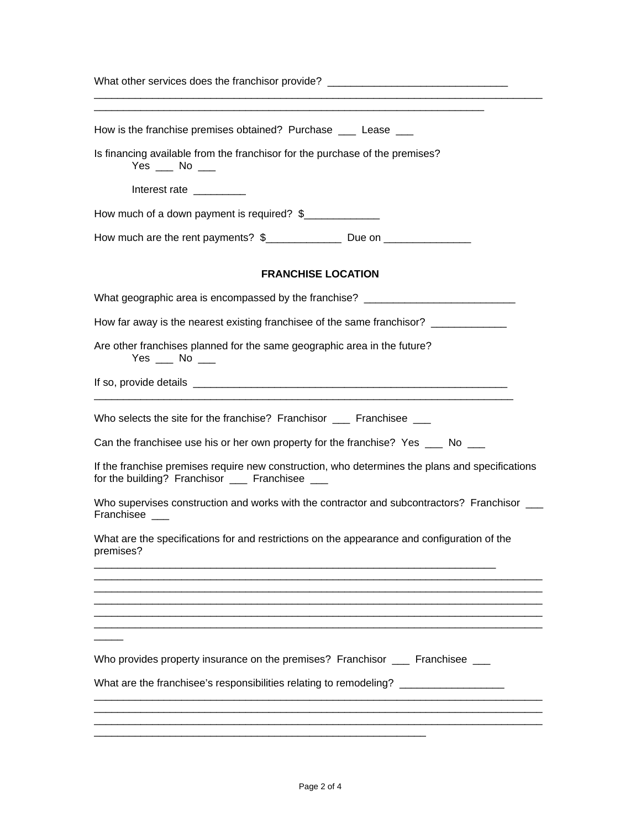| What other services does the franchisor provide? _______________________________                                                                    |
|-----------------------------------------------------------------------------------------------------------------------------------------------------|
| How is the franchise premises obtained? Purchase ___ Lease ___                                                                                      |
| Is financing available from the franchisor for the purchase of the premises?<br>$Yes \_\_\$ No $\_\_\_\$                                            |
| Interest rate _________                                                                                                                             |
| How much of a down payment is required? \$                                                                                                          |
| How much are the rent payments? \$__________________ Due on _____________________                                                                   |
| <b>FRANCHISE LOCATION</b>                                                                                                                           |
| What geographic area is encompassed by the franchise? __________________________                                                                    |
| How far away is the nearest existing franchisee of the same franchisor? _____________                                                               |
| Are other franchises planned for the same geographic area in the future?<br>Yes $\_\_\$ No $\_\_\_\$                                                |
|                                                                                                                                                     |
| Who selects the site for the franchise? Franchisor _____ Franchisee ____                                                                            |
| Can the franchisee use his or her own property for the franchise? Yes ___ No ___                                                                    |
| If the franchise premises require new construction, who determines the plans and specifications<br>for the building? Franchisor ____ Franchisee ___ |
| Who supervises construction and works with the contractor and subcontractors? Franchisor __<br>Franchisee ___                                       |
| What are the specifications for and restrictions on the appearance and configuration of the<br>premises?                                            |
|                                                                                                                                                     |
|                                                                                                                                                     |
| Who provides property insurance on the premises? Franchisor ___ Franchisee ___                                                                      |
| What are the franchisee's responsibilities relating to remodeling? ______                                                                           |
|                                                                                                                                                     |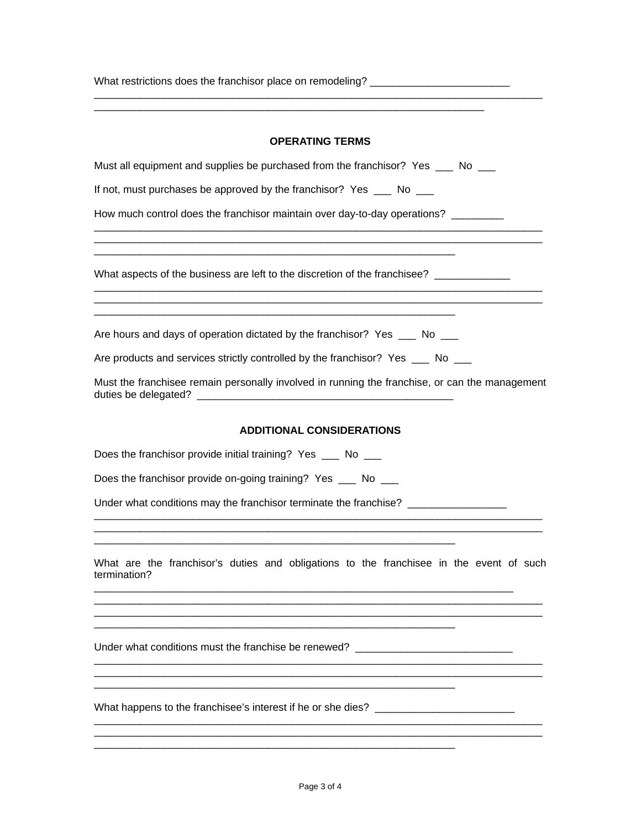| What restrictions does the franchisor place on remodeling? _____________________                        |
|---------------------------------------------------------------------------------------------------------|
| <b>OPERATING TERMS</b>                                                                                  |
| Must all equipment and supplies be purchased from the franchisor? Yes ___ No ___                        |
| If not, must purchases be approved by the franchisor? Yes ___ No __                                     |
| How much control does the franchisor maintain over day-to-day operations?                               |
|                                                                                                         |
| What aspects of the business are left to the discretion of the franchisee? ____________                 |
| Are hours and days of operation dictated by the franchisor? Yes ___ No ___                              |
| Are products and services strictly controlled by the franchisor? Yes ___ No ___                         |
| Must the franchisee remain personally involved in running the franchise, or can the management          |
| <b>ADDITIONAL CONSIDERATIONS</b>                                                                        |
| Does the franchisor provide initial training? Yes ___ No __                                             |
| Does the franchisor provide on-going training? Yes ___ No __                                            |
| Under what conditions may the franchisor terminate the franchise? ______________                        |
| What are the franchisor's duties and obligations to the franchisee in the event of such<br>termination? |
| Under what conditions must the franchise be renewed? ___________________________                        |
| What happens to the franchisee's interest if he or she dies? ____________________                       |
|                                                                                                         |